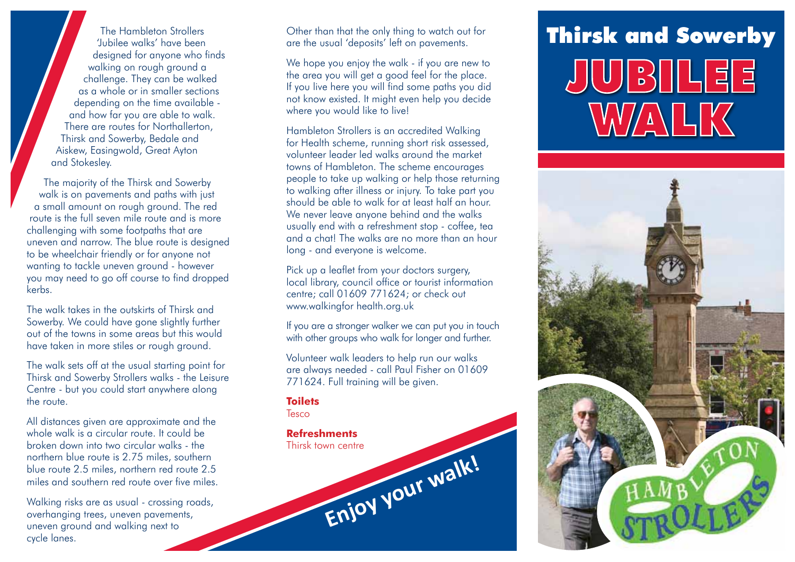'Jubilee walks' have been designed for anyone who finds walking on rough ground a challenge. They can be walked as a whole or in smaller sections depending on the time available and how far you are able to walk. There are routes for Northallerton, Thirsk and Sowerby, Bedale and Aiskew, Easingwold, Great Ayton and Stokesley.

The majority of the Thirsk and Sowerby walk is on pavements and paths with just a small amount on rough ground. The red route is the full seven mile route and is more challenging with some footpaths that are uneven and narrow. The blue route is designed to be wheelchair friendly or for anyone not wanting to tackle uneven ground - however you may need to go off course to find dropped kerbs.

The walk takes in the outskirts of Thirsk and Sowerby. We could have gone slightly further out of the towns in some areas but this would have taken in more stiles or rough ground.

The walk sets off at the usual starting point for Thirsk and Sowerby Strollers walks - the Leisure Centre - but you could start anywhere along the route.

All distances given are approximate and the whole walk is a circular route. It could be broken down into two circular walks - the northern blue route is 2.75 miles, southern blue route 2.5 miles, northern red route 2.5 miles and southern red route over five miles.

Walking risks are as usual - crossing roads, overhanging trees, uneven pavements, uneven ground and walking next to cycle lanes.

Other than that the only thing to watch out for are the usual 'deposits' left on pavements.

We hope you enjoy the walk - if you are new to the area you will get a good feel for the place. If you live here you will find some paths you did not know existed. It might even help you decide where you would like to live!

Hambleton Strollers is an accredited Walking for Health scheme, running short risk assessed, volunteer leader led walks around the market towns of Hambleton. The scheme encourages people to take up walking or help those returning to walking after illness or injury. To take part you should be able to walk for at least half an hour. We never leave anyone behind and the walks usually end with a refreshment stop - coffee, tea and a chat! The walks are no more than an hour long - and everyone is welcome.

Pick up a leaflet from your doctors surgery, local library, council office or tourist information centre; call 01609 771624; or check out www.walkingfor health.org.uk

If you are a stronger walker we can put you in touch with other groups who walk for longer and further.

Volunteer walk leaders to help run our walks are always needed - call Paul Fisher on 01609 771624. Full training will be given.

## **Toilets**

Tesco



## The Hambleton Strollers Cther than that the only thing to watch out for **Thirsk and Sowerby** JUBILEE